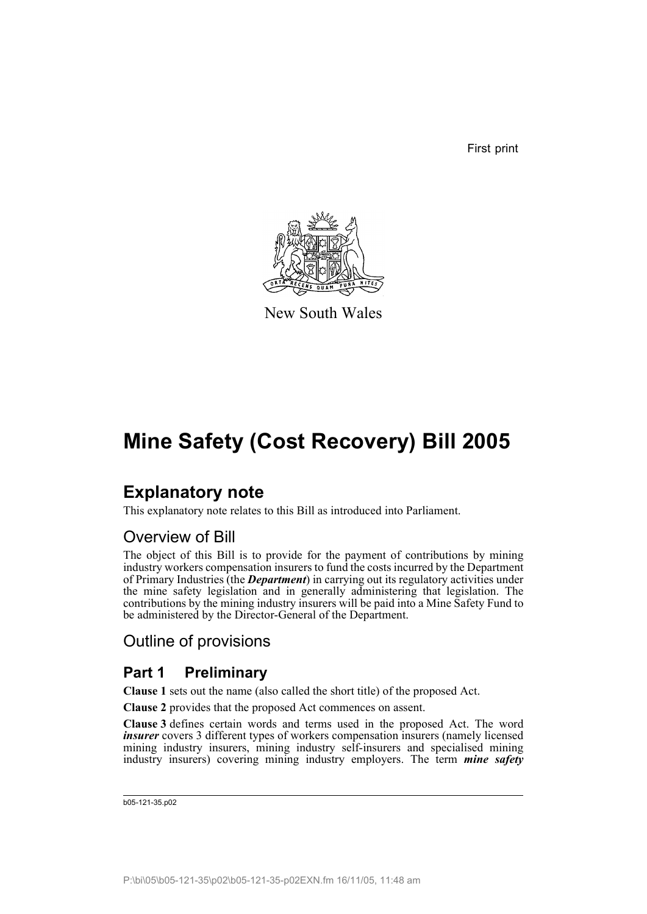First print



New South Wales

# **Mine Safety (Cost Recovery) Bill 2005**

# **Explanatory note**

This explanatory note relates to this Bill as introduced into Parliament.

# Overview of Bill

The object of this Bill is to provide for the payment of contributions by mining industry workers compensation insurers to fund the costs incurred by the Department of Primary Industries (the *Department*) in carrying out its regulatory activities under the mine safety legislation and in generally administering that legislation. The contributions by the mining industry insurers will be paid into a Mine Safety Fund to be administered by the Director-General of the Department.

# Outline of provisions

# **Part 1 Preliminary**

**Clause 1** sets out the name (also called the short title) of the proposed Act.

**Clause 2** provides that the proposed Act commences on assent.

**Clause 3** defines certain words and terms used in the proposed Act. The word *insurer* covers 3 different types of workers compensation insurers (namely licensed mining industry insurers, mining industry self-insurers and specialised mining industry insurers) covering mining industry employers. The term *mine safety*

```
b05-121-35.p02
```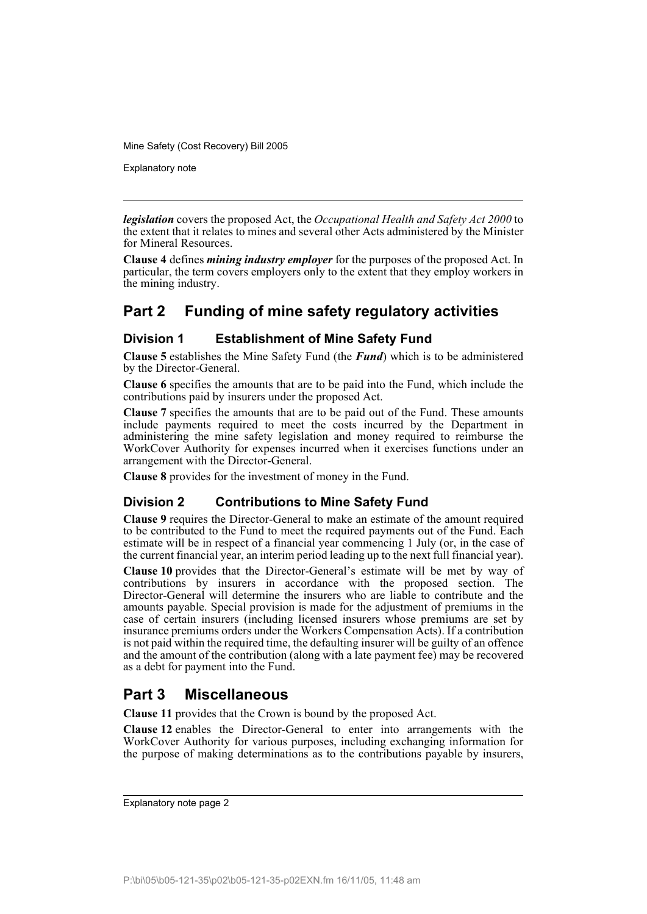Explanatory note

*legislation* covers the proposed Act, the *Occupational Health and Safety Act 2000* to the extent that it relates to mines and several other Acts administered by the Minister for Mineral Resources.

**Clause 4** defines *mining industry employer* for the purposes of the proposed Act. In particular, the term covers employers only to the extent that they employ workers in the mining industry.

# **Part 2 Funding of mine safety regulatory activities**

#### **Division 1 Establishment of Mine Safety Fund**

**Clause 5** establishes the Mine Safety Fund (the *Fund*) which is to be administered by the Director-General.

**Clause 6** specifies the amounts that are to be paid into the Fund, which include the contributions paid by insurers under the proposed Act.

**Clause 7** specifies the amounts that are to be paid out of the Fund. These amounts include payments required to meet the costs incurred by the Department in administering the mine safety legislation and money required to reimburse the WorkCover Authority for expenses incurred when it exercises functions under an arrangement with the Director-General.

**Clause 8** provides for the investment of money in the Fund.

#### **Division 2 Contributions to Mine Safety Fund**

**Clause 9** requires the Director-General to make an estimate of the amount required to be contributed to the Fund to meet the required payments out of the Fund. Each estimate will be in respect of a financial year commencing 1 July (or, in the case of the current financial year, an interim period leading up to the next full financial year).

**Clause 10** provides that the Director-General's estimate will be met by way of contributions by insurers in accordance with the proposed section. The Director-General will determine the insurers who are liable to contribute and the amounts payable. Special provision is made for the adjustment of premiums in the case of certain insurers (including licensed insurers whose premiums are set by insurance premiums orders under the Workers Compensation Acts). If a contribution is not paid within the required time, the defaulting insurer will be guilty of an offence and the amount of the contribution (along with a late payment fee) may be recovered as a debt for payment into the Fund.

### **Part 3 Miscellaneous**

**Clause 11** provides that the Crown is bound by the proposed Act.

**Clause 12** enables the Director-General to enter into arrangements with the WorkCover Authority for various purposes, including exchanging information for the purpose of making determinations as to the contributions payable by insurers,

Explanatory note page 2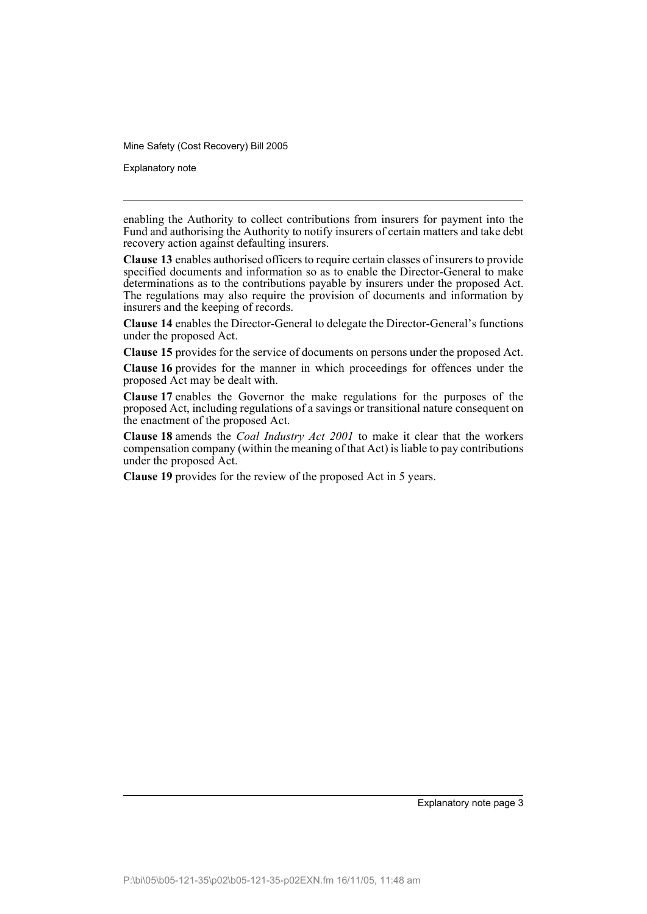Explanatory note

enabling the Authority to collect contributions from insurers for payment into the Fund and authorising the Authority to notify insurers of certain matters and take debt recovery action against defaulting insurers.

**Clause 13** enables authorised officers to require certain classes of insurers to provide specified documents and information so as to enable the Director-General to make determinations as to the contributions payable by insurers under the proposed Act. The regulations may also require the provision of documents and information by insurers and the keeping of records.

**Clause 14** enables the Director-General to delegate the Director-General's functions under the proposed Act.

**Clause 15** provides for the service of documents on persons under the proposed Act.

**Clause 16** provides for the manner in which proceedings for offences under the proposed Act may be dealt with.

**Clause 17** enables the Governor the make regulations for the purposes of the proposed Act, including regulations of a savings or transitional nature consequent on the enactment of the proposed Act.

**Clause 18** amends the *Coal Industry Act 2001* to make it clear that the workers compensation company (within the meaning of that Act) is liable to pay contributions under the proposed Act.

**Clause 19** provides for the review of the proposed Act in 5 years.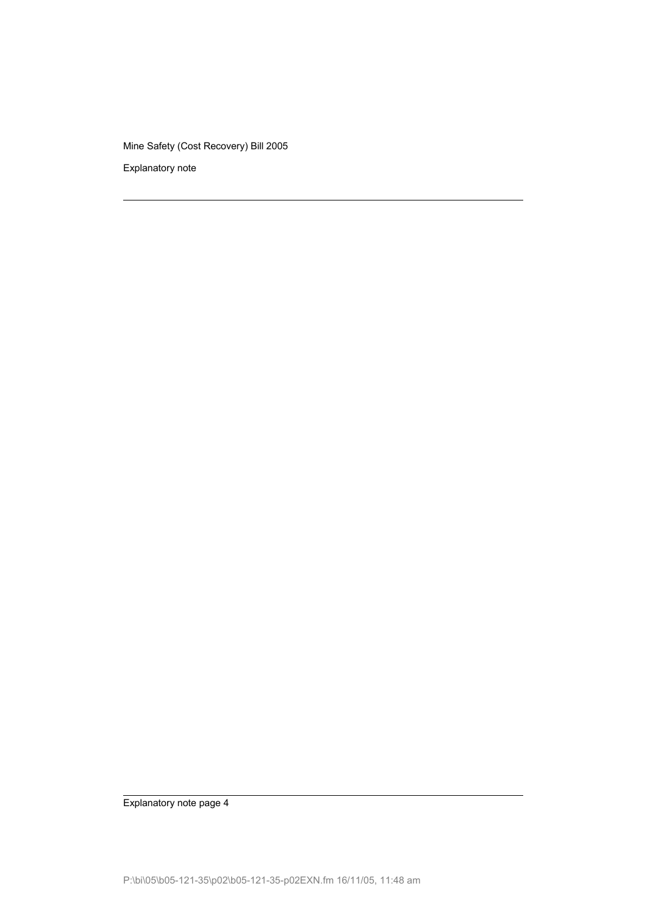Explanatory note

Explanatory note page 4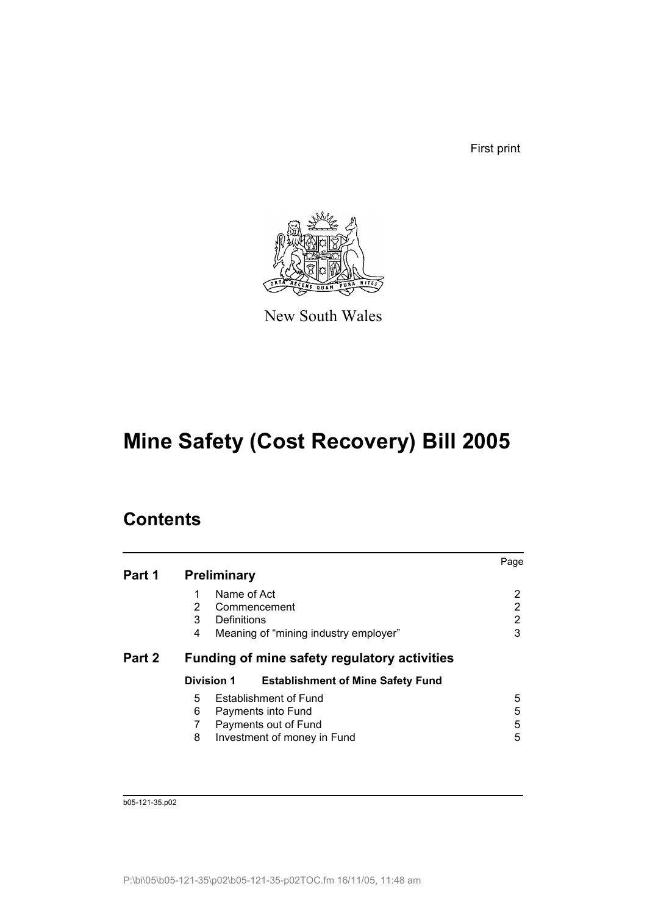First print



New South Wales

# **Mine Safety (Cost Recovery) Bill 2005**

# **Contents**

| Part 1 | <b>Preliminary</b>                                                                                                   | Page             |
|--------|----------------------------------------------------------------------------------------------------------------------|------------------|
|        | Name of Act<br>1<br>$\overline{2}$<br>Commencement<br>3<br>Definitions<br>Meaning of "mining industry employer"<br>4 | 2<br>2<br>2<br>3 |
| Part 2 | Funding of mine safety regulatory activities                                                                         |                  |
|        | <b>Division 1</b><br><b>Establishment of Mine Safety Fund</b>                                                        |                  |
|        | 5.<br><b>Establishment of Fund</b><br>6<br>Payments into Fund                                                        | 5<br>5           |

b05-121-35.p02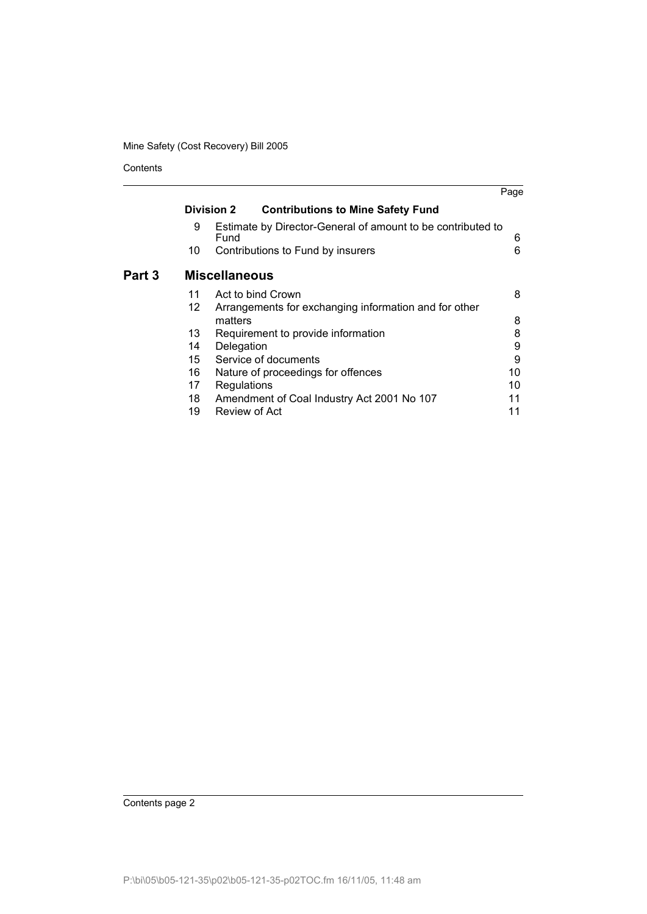Contents

|        |                   |                                                                     | Page |
|--------|-------------------|---------------------------------------------------------------------|------|
|        | <b>Division 2</b> | <b>Contributions to Mine Safety Fund</b>                            |      |
|        | 9                 | Estimate by Director-General of amount to be contributed to<br>Fund | 6    |
|        | 10                | Contributions to Fund by insurers                                   | 6    |
| Part 3 |                   | <b>Miscellaneous</b>                                                |      |
|        | 11                | Act to bind Crown                                                   | 8    |
|        | 12                | Arrangements for exchanging information and for other               |      |
|        |                   | matters                                                             | 8    |
|        | 13                | Requirement to provide information                                  | 8    |
|        | 14                | Delegation                                                          | 9    |
|        | 15                | Service of documents                                                | 9    |
|        | 16                | Nature of proceedings for offences                                  | 10   |
|        | 17                | Regulations                                                         | 10   |
|        | 18                | Amendment of Coal Industry Act 2001 No 107                          | 11   |
|        | 19                | Review of Act                                                       | 11   |

Contents page 2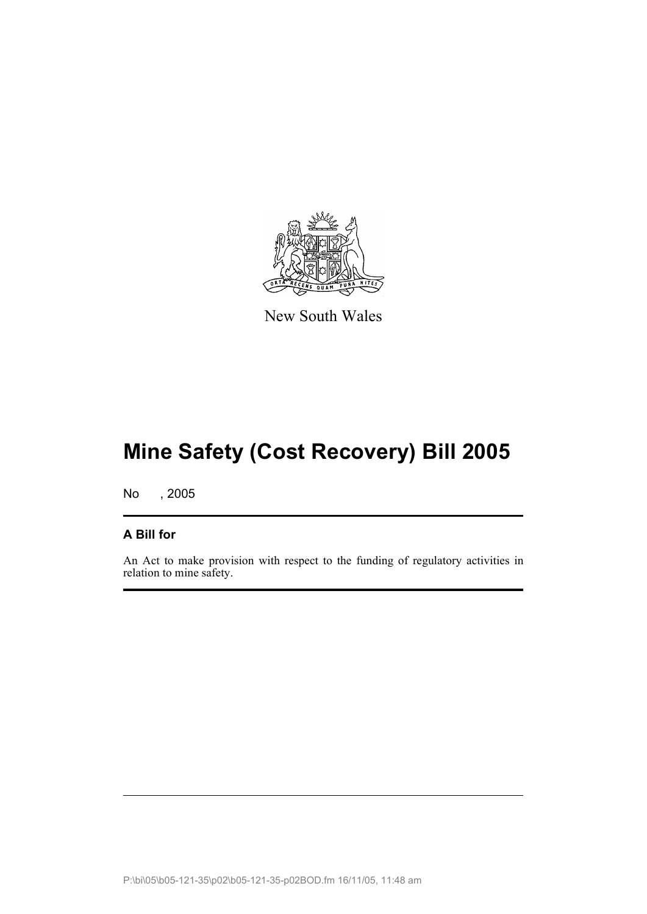

New South Wales

# **Mine Safety (Cost Recovery) Bill 2005**

No , 2005

### **A Bill for**

An Act to make provision with respect to the funding of regulatory activities in relation to mine safety.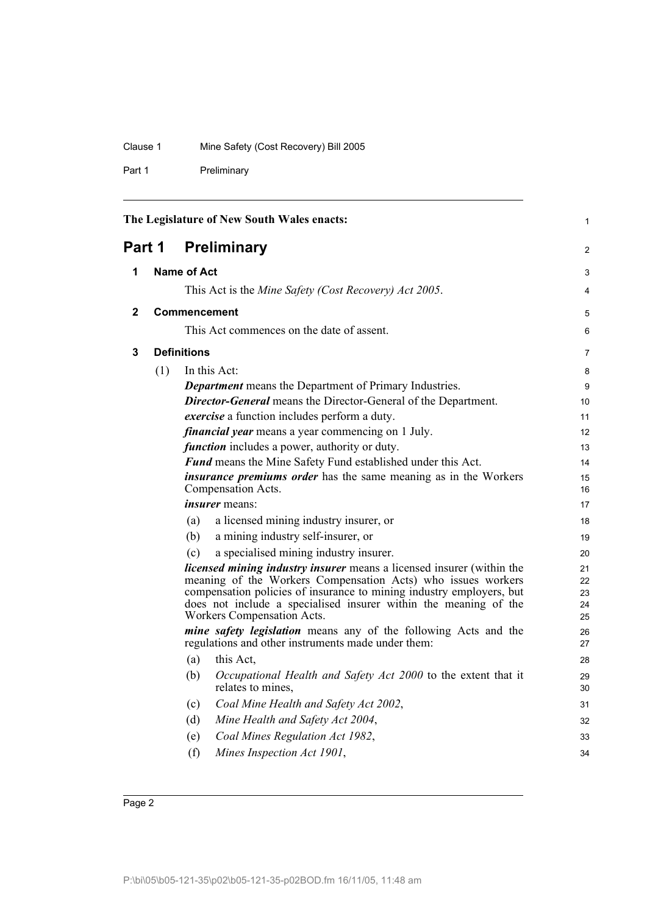### Clause 1 Mine Safety (Cost Recovery) Bill 2005

Part 1 Preliminary

|              |     |                    | The Legislature of New South Wales enacts:                                                                                                                                                                                                                                                                             | $\mathbf{1}$               |
|--------------|-----|--------------------|------------------------------------------------------------------------------------------------------------------------------------------------------------------------------------------------------------------------------------------------------------------------------------------------------------------------|----------------------------|
| Part 1       |     |                    | <b>Preliminary</b>                                                                                                                                                                                                                                                                                                     | $\overline{c}$             |
| 1            |     | <b>Name of Act</b> |                                                                                                                                                                                                                                                                                                                        | 3                          |
|              |     |                    | This Act is the Mine Safety (Cost Recovery) Act 2005.                                                                                                                                                                                                                                                                  | 4                          |
| $\mathbf{2}$ |     |                    | <b>Commencement</b>                                                                                                                                                                                                                                                                                                    | 5                          |
|              |     |                    | This Act commences on the date of assent.                                                                                                                                                                                                                                                                              | 6                          |
| 3            |     | <b>Definitions</b> |                                                                                                                                                                                                                                                                                                                        | 7                          |
|              | (1) |                    | In this Act:                                                                                                                                                                                                                                                                                                           | 8                          |
|              |     |                    | <b>Department</b> means the Department of Primary Industries.                                                                                                                                                                                                                                                          | 9                          |
|              |     |                    | <b>Director-General</b> means the Director-General of the Department.                                                                                                                                                                                                                                                  | 10                         |
|              |     |                    | exercise a function includes perform a duty.                                                                                                                                                                                                                                                                           | 11                         |
|              |     |                    | <i>financial year</i> means a year commencing on 1 July.                                                                                                                                                                                                                                                               | 12                         |
|              |     |                    | <i>function</i> includes a power, authority or duty.                                                                                                                                                                                                                                                                   | 13                         |
|              |     |                    | <b>Fund</b> means the Mine Safety Fund established under this Act.                                                                                                                                                                                                                                                     | 14                         |
|              |     |                    | <i>insurance premiums order</i> has the same meaning as in the Workers<br>Compensation Acts.                                                                                                                                                                                                                           | 15<br>16                   |
|              |     |                    | <i>insurer</i> means:                                                                                                                                                                                                                                                                                                  | 17                         |
|              |     | (a)                | a licensed mining industry insurer, or                                                                                                                                                                                                                                                                                 | 18                         |
|              |     | (b)                | a mining industry self-insurer, or                                                                                                                                                                                                                                                                                     | 19                         |
|              |     | (c)                | a specialised mining industry insurer.                                                                                                                                                                                                                                                                                 | 20                         |
|              |     |                    | <i>licensed mining industry insurer</i> means a licensed insurer (within the<br>meaning of the Workers Compensation Acts) who issues workers<br>compensation policies of insurance to mining industry employers, but<br>does not include a specialised insurer within the meaning of the<br>Workers Compensation Acts. | 21<br>22<br>23<br>24<br>25 |
|              |     |                    | <i>mine safety legislation</i> means any of the following Acts and the<br>regulations and other instruments made under them:                                                                                                                                                                                           | 26<br>27                   |
|              |     | (a)                | this Act,                                                                                                                                                                                                                                                                                                              | 28                         |
|              |     | (b)                | Occupational Health and Safety Act 2000 to the extent that it<br>relates to mines,                                                                                                                                                                                                                                     | 29<br>30                   |
|              |     | (c)                | Coal Mine Health and Safety Act 2002,                                                                                                                                                                                                                                                                                  | 31                         |
|              |     | (d)                | Mine Health and Safety Act 2004,                                                                                                                                                                                                                                                                                       | 32                         |
|              |     | (e)                | Coal Mines Regulation Act 1982,                                                                                                                                                                                                                                                                                        | 33                         |
|              |     | (f)                | Mines Inspection Act 1901,                                                                                                                                                                                                                                                                                             | 34                         |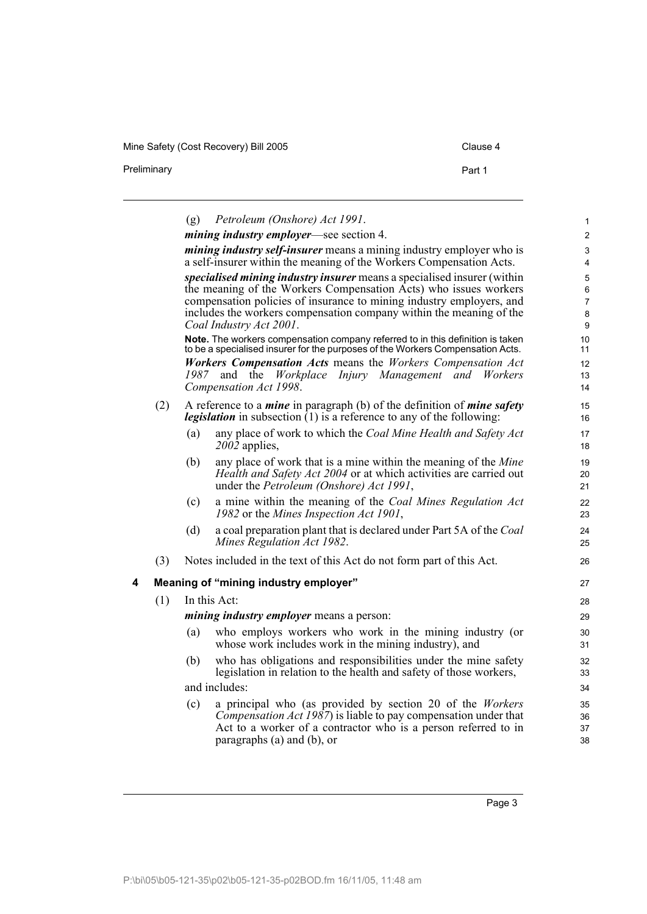Mine Safety (Cost Recovery) Bill 2005 Clause 4

Preliminary **Preliminary Part 1** 

|   |     | (g)    | Petroleum (Onshore) Act 1991.                                                                                                                                    | 1              |
|---|-----|--------|------------------------------------------------------------------------------------------------------------------------------------------------------------------|----------------|
|   |     |        | mining industry employer-see section 4.                                                                                                                          | 2              |
|   |     |        | <i>mining industry self-insurer</i> means a mining industry employer who is                                                                                      | 3              |
|   |     |        | a self-insurer within the meaning of the Workers Compensation Acts.                                                                                              | 4              |
|   |     |        | specialised mining industry insurer means a specialised insurer (within<br>the meaning of the Workers Compensation Acts) who issues workers                      | 5<br>$\,6\,$   |
|   |     |        | compensation policies of insurance to mining industry employers, and                                                                                             | $\overline{7}$ |
|   |     |        | includes the workers compensation company within the meaning of the<br>Coal Industry Act 2001.                                                                   | 8<br>9         |
|   |     |        | Note. The workers compensation company referred to in this definition is taken<br>to be a specialised insurer for the purposes of the Workers Compensation Acts. | 10<br>11       |
|   |     |        | <b>Workers Compensation Acts means the Workers Compensation Act</b>                                                                                              | 12             |
|   |     | 1987 - | the<br>Workplace Injury Management and<br>and<br>Workers<br>Compensation Act 1998.                                                                               | 13<br>14       |
|   | (2) |        | A reference to a <i>mine</i> in paragraph (b) of the definition of <i>mine</i> safety                                                                            | 15             |
|   |     |        | <i>legislation</i> in subsection (1) is a reference to any of the following:                                                                                     | 16             |
|   |     | (a)    | any place of work to which the Coal Mine Health and Safety Act<br>$200\overline{2}$ applies,                                                                     | 17<br>18       |
|   |     | (b)    | any place of work that is a mine within the meaning of the <i>Mine</i>                                                                                           | 19             |
|   |     |        | Health and Safety Act 2004 or at which activities are carried out<br>under the Petroleum (Onshore) Act 1991,                                                     | 20<br>21       |
|   |     | (c)    | a mine within the meaning of the Coal Mines Regulation Act<br>1982 or the Mines Inspection Act 1901,                                                             | 22<br>23       |
|   |     | (d)    | a coal preparation plant that is declared under Part 5A of the Coal<br>Mines Regulation Act 1982.                                                                | 24<br>25       |
|   | (3) |        | Notes included in the text of this Act do not form part of this Act.                                                                                             | 26             |
| 4 |     |        | Meaning of "mining industry employer"                                                                                                                            | 27             |
|   | (1) |        | In this Act:                                                                                                                                                     | 28             |
|   |     |        | <i>mining industry employer</i> means a person:                                                                                                                  | 29             |
|   |     | (a)    | who employs workers who work in the mining industry (or<br>whose work includes work in the mining industry), and                                                 | 30<br>31       |
|   |     | (b)    | who has obligations and responsibilities under the mine safety<br>legislation in relation to the health and safety of those workers,                             | 32<br>33       |
|   |     |        | and includes:                                                                                                                                                    | 34             |
|   |     | (c)    | a principal who (as provided by section 20 of the Workers<br>Compensation Act 1987) is liable to pay compensation under that                                     | 35<br>36       |

Act to a worker of a contractor who is a person referred to in

Page 3

37 38

paragraphs (a) and (b), or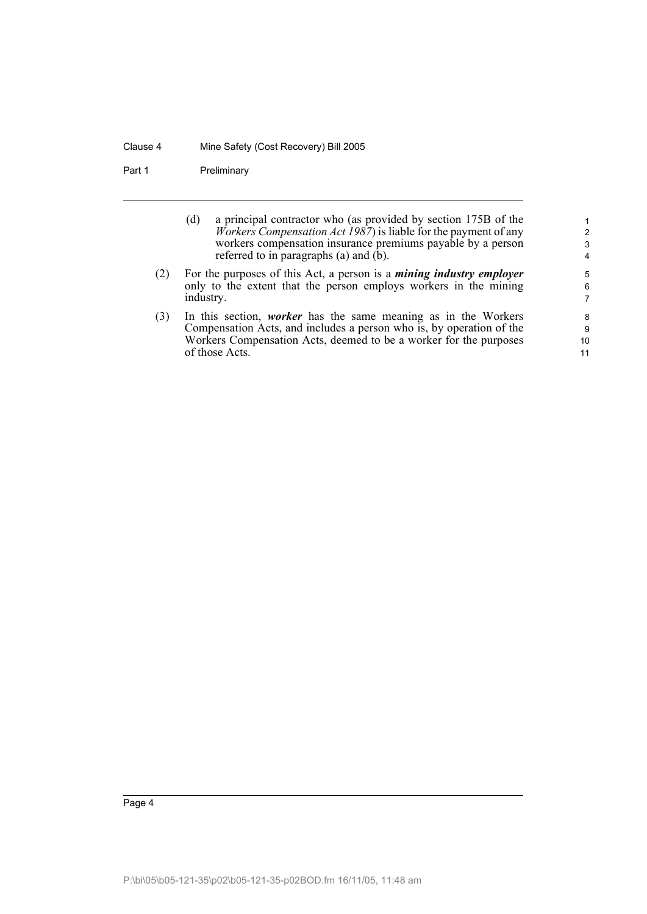#### Clause 4 Mine Safety (Cost Recovery) Bill 2005

Part 1 Preliminary

| (d) | a principal contractor who (as provided by section 175B of the          |
|-----|-------------------------------------------------------------------------|
|     | <i>Workers Compensation Act 1987</i> ) is liable for the payment of any |
|     | workers compensation insurance premiums payable by a person             |
|     | referred to in paragraphs (a) and $(b)$ .                               |

- (2) For the purposes of this Act, a person is a *mining industry employer* only to the extent that the person employs workers in the mining industry.
- (3) In this section, *worker* has the same meaning as in the Workers Compensation Acts, and includes a person who is, by operation of the Workers Compensation Acts, deemed to be a worker for the purposes of those Acts.

Page 4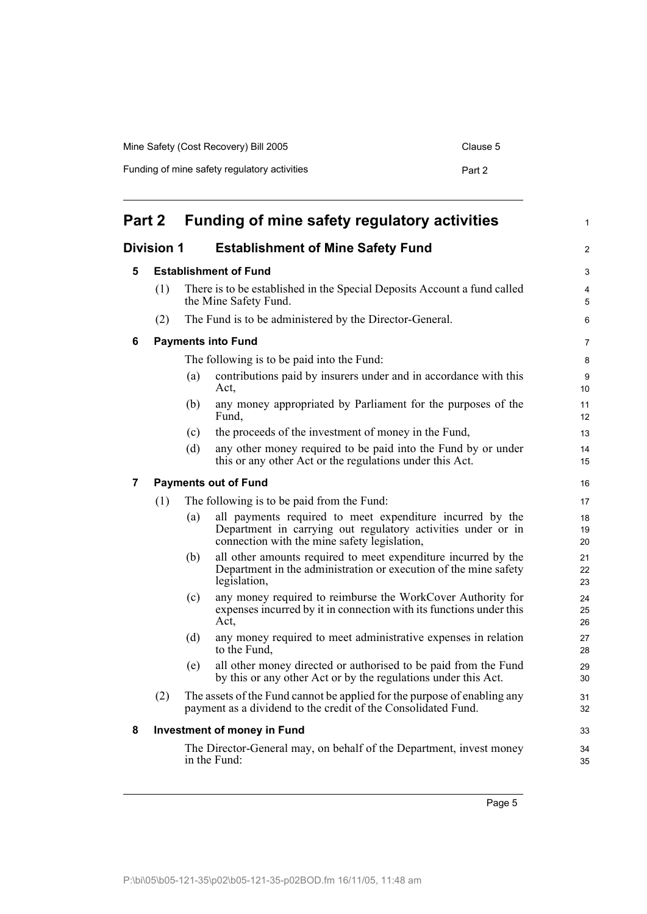| Mine Safety (Cost Recovery) Bill 2005        |        |
|----------------------------------------------|--------|
| Funding of mine safety regulatory activities | Part 2 |

|   | <b>Part 2</b>     | <b>Funding of mine safety regulatory activities</b>                                                                                                                              | 1              |
|---|-------------------|----------------------------------------------------------------------------------------------------------------------------------------------------------------------------------|----------------|
|   | <b>Division 1</b> | <b>Establishment of Mine Safety Fund</b>                                                                                                                                         | 2              |
| 5 |                   | <b>Establishment of Fund</b>                                                                                                                                                     | 3              |
|   | (1)               | There is to be established in the Special Deposits Account a fund called<br>the Mine Safety Fund.                                                                                | 4<br>5         |
|   | (2)               | The Fund is to be administered by the Director-General.                                                                                                                          | 6              |
| 6 |                   | <b>Payments into Fund</b>                                                                                                                                                        | 7              |
|   |                   | The following is to be paid into the Fund:                                                                                                                                       | 8              |
|   |                   | contributions paid by insurers under and in accordance with this<br>(a)<br>Act,                                                                                                  | 9<br>10        |
|   |                   | any money appropriated by Parliament for the purposes of the<br>(b)<br>Fund,                                                                                                     | 11<br>12       |
|   |                   | the proceeds of the investment of money in the Fund,<br>(c)                                                                                                                      | 13             |
|   |                   | (d)<br>any other money required to be paid into the Fund by or under<br>this or any other Act or the regulations under this Act.                                                 | 14<br>15       |
| 7 |                   | <b>Payments out of Fund</b>                                                                                                                                                      | 16             |
|   | (1)               | The following is to be paid from the Fund:                                                                                                                                       | 17             |
|   |                   | all payments required to meet expenditure incurred by the<br>(a)<br>Department in carrying out regulatory activities under or in<br>connection with the mine safety legislation, | 18<br>19<br>20 |
|   |                   | all other amounts required to meet expenditure incurred by the<br>(b)<br>Department in the administration or execution of the mine safety<br>legislation,                        | 21<br>22<br>23 |
|   |                   | any money required to reimburse the WorkCover Authority for<br>(c)<br>expenses incurred by it in connection with its functions under this<br>Act,                                | 24<br>25<br>26 |
|   |                   | any money required to meet administrative expenses in relation<br>(d)<br>to the Fund,                                                                                            | 27<br>28       |
|   |                   | all other money directed or authorised to be paid from the Fund<br>(e)<br>by this or any other Act or by the regulations under this Act.                                         | 29<br>30       |
|   | (2)               | The assets of the Fund cannot be applied for the purpose of enabling any<br>payment as a dividend to the credit of the Consolidated Fund.                                        | 31<br>32       |
| 8 |                   | <b>Investment of money in Fund</b>                                                                                                                                               | 33             |
|   |                   | The Director-General may, on behalf of the Department, invest money<br>in the Fund:                                                                                              | 34<br>35       |

Page 5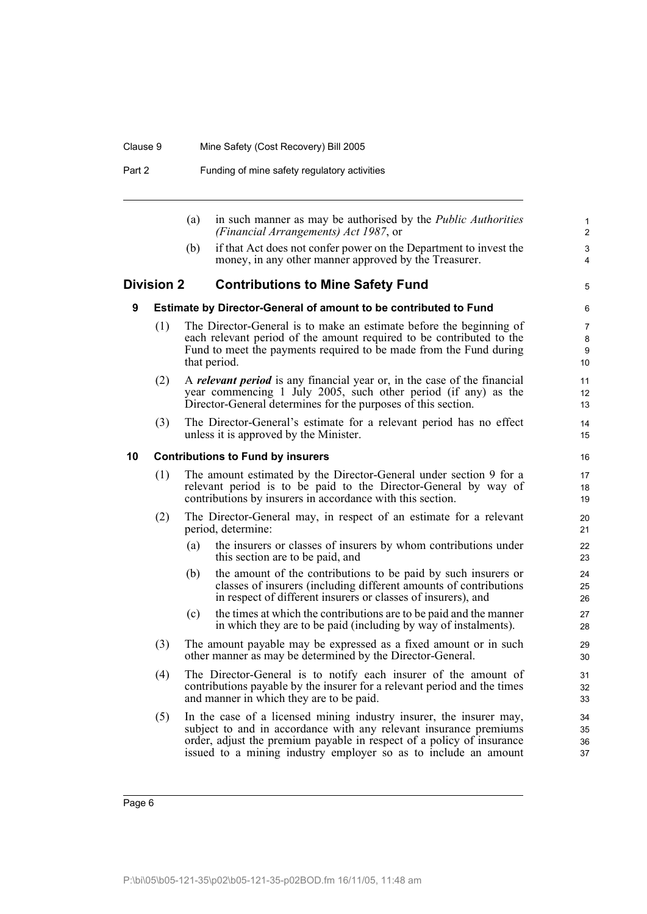#### Clause 9 Mine Safety (Cost Recovery) Bill 2005

Part 2 Funding of mine safety regulatory activities

(a) in such manner as may be authorised by the *Public Authorities (Financial Arrangements) Act 1987*, or

1  $\overline{2}$  $\overline{a}$ 4

5

(b) if that Act does not confer power on the Department to invest the money, in any other manner approved by the Treasurer.

#### **Division 2 Contributions to Mine Safety Fund**

#### **9 Estimate by Director-General of amount to be contributed to Fund**

- (1) The Director-General is to make an estimate before the beginning of each relevant period of the amount required to be contributed to the Fund to meet the payments required to be made from the Fund during that period.
- (2) A *relevant period* is any financial year or, in the case of the financial year commencing 1 July 2005, such other period (if any) as the Director-General determines for the purposes of this section.
- (3) The Director-General's estimate for a relevant period has no effect unless it is approved by the Minister.

#### **10 Contributions to Fund by insurers**

- (1) The amount estimated by the Director-General under section 9 for a relevant period is to be paid to the Director-General by way of contributions by insurers in accordance with this section.
- (2) The Director-General may, in respect of an estimate for a relevant period, determine:
	- (a) the insurers or classes of insurers by whom contributions under this section are to be paid, and
	- (b) the amount of the contributions to be paid by such insurers or classes of insurers (including different amounts of contributions in respect of different insurers or classes of insurers), and
	- (c) the times at which the contributions are to be paid and the manner in which they are to be paid (including by way of instalments).
- (3) The amount payable may be expressed as a fixed amount or in such other manner as may be determined by the Director-General.
- (4) The Director-General is to notify each insurer of the amount of contributions payable by the insurer for a relevant period and the times and manner in which they are to be paid.
- (5) In the case of a licensed mining industry insurer, the insurer may, subject to and in accordance with any relevant insurance premiums order, adjust the premium payable in respect of a policy of insurance issued to a mining industry employer so as to include an amount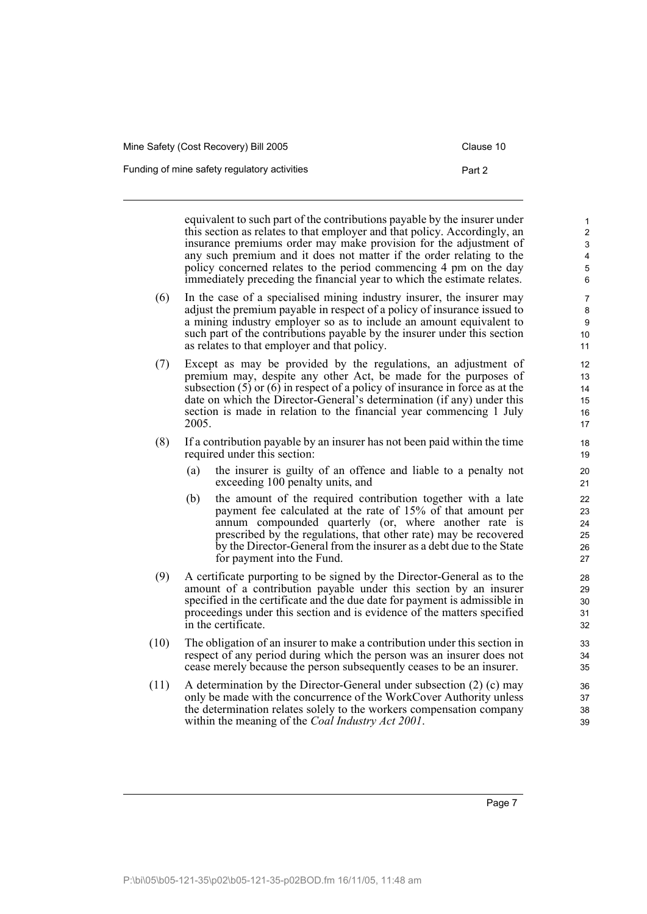P:\bi\05\b05-121-35\p02\b05-121-35-p02BOD.fm 16/11/05, 11:48 am

Mine Safety (Cost Recovery) Bill 2005 Clause 10

equivalent to such part of the contributions payable by the insurer under this section as relates to that employer and that policy. Accordingly, an insurance premiums order may make provision for the adjustment of any such premium and it does not matter if the order relating to the policy concerned relates to the period commencing 4 pm on the day immediately preceding the financial year to which the estimate relates.

- (6) In the case of a specialised mining industry insurer, the insurer may adjust the premium payable in respect of a policy of insurance issued to a mining industry employer so as to include an amount equivalent to such part of the contributions payable by the insurer under this section as relates to that employer and that policy.
- (7) Except as may be provided by the regulations, an adjustment of premium may, despite any other Act, be made for the purposes of subsection  $(5)$  or  $(6)$  in respect of a policy of insurance in force as at the date on which the Director-General's determination (if any) under this section is made in relation to the financial year commencing 1 July 2005.
- (8) If a contribution payable by an insurer has not been paid within the time required under this section:
	- (a) the insurer is guilty of an offence and liable to a penalty not exceeding 100 penalty units, and
	- (b) the amount of the required contribution together with a late payment fee calculated at the rate of 15% of that amount per annum compounded quarterly (or, where another rate is prescribed by the regulations, that other rate) may be recovered by the Director-General from the insurer as a debt due to the State for payment into the Fund.
- (9) A certificate purporting to be signed by the Director-General as to the amount of a contribution payable under this section by an insurer specified in the certificate and the due date for payment is admissible in proceedings under this section and is evidence of the matters specified in the certificate.
- (10) The obligation of an insurer to make a contribution under this section in respect of any period during which the person was an insurer does not cease merely because the person subsequently ceases to be an insurer.
- (11) A determination by the Director-General under subsection (2) (c) may only be made with the concurrence of the WorkCover Authority unless the determination relates solely to the workers compensation company within the meaning of the *Coal Industry Act 2001*.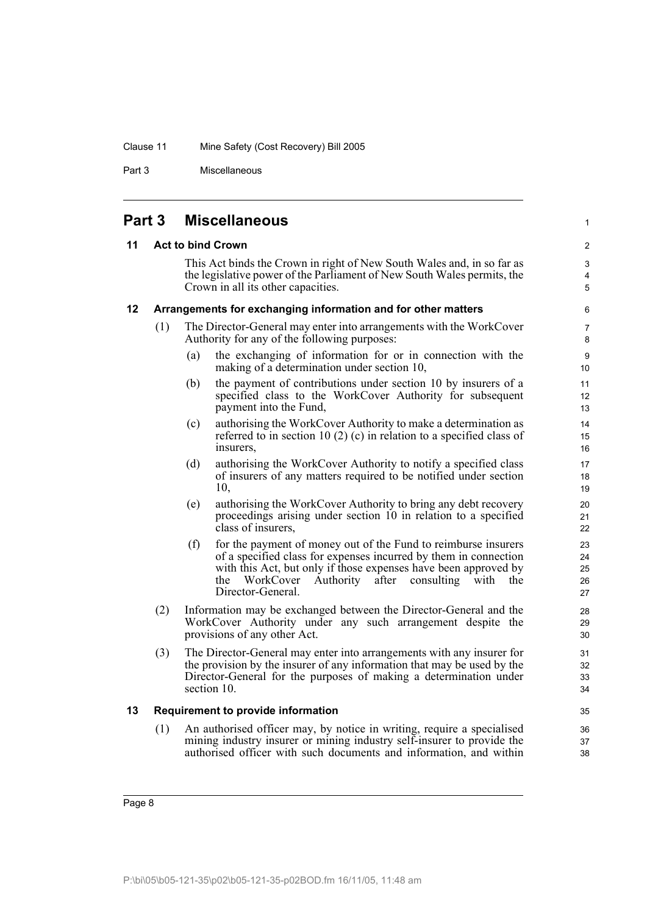### Clause 11 Mine Safety (Cost Recovery) Bill 2005

Part 3 Miscellaneous

|    | Part 3 | <b>Miscellaneous</b>                                                                                                                                                                                                                                                                                     | 1                          |
|----|--------|----------------------------------------------------------------------------------------------------------------------------------------------------------------------------------------------------------------------------------------------------------------------------------------------------------|----------------------------|
| 11 |        | <b>Act to bind Crown</b>                                                                                                                                                                                                                                                                                 | $\overline{2}$             |
|    |        | This Act binds the Crown in right of New South Wales and, in so far as<br>the legislative power of the Parliament of New South Wales permits, the<br>Crown in all its other capacities.                                                                                                                  | 3<br>4<br>5                |
| 12 |        | Arrangements for exchanging information and for other matters                                                                                                                                                                                                                                            | 6                          |
|    | (1)    | The Director-General may enter into arrangements with the WorkCover<br>Authority for any of the following purposes:                                                                                                                                                                                      | 7<br>8                     |
|    |        | the exchanging of information for or in connection with the<br>(a)<br>making of a determination under section 10,                                                                                                                                                                                        | 9<br>10                    |
|    |        | the payment of contributions under section 10 by insurers of a<br>(b)<br>specified class to the WorkCover Authority for subsequent<br>payment into the Fund,                                                                                                                                             | 11<br>12<br>13             |
|    |        | authorising the WorkCover Authority to make a determination as<br>(c)<br>referred to in section 10 (2) (c) in relation to a specified class of<br>insurers.                                                                                                                                              | 14<br>15<br>16             |
|    |        | (d)<br>authorising the WorkCover Authority to notify a specified class<br>of insurers of any matters required to be notified under section<br>10,                                                                                                                                                        | 17<br>18<br>19             |
|    |        | authorising the WorkCover Authority to bring any debt recovery<br>(e)<br>proceedings arising under section 10 in relation to a specified<br>class of insurers.                                                                                                                                           | 20<br>21<br>22             |
|    |        | for the payment of money out of the Fund to reimburse insurers<br>(f)<br>of a specified class for expenses incurred by them in connection<br>with this Act, but only if those expenses have been approved by<br>the<br>WorkCover<br>Authority<br>after<br>consulting<br>with<br>the<br>Director-General. | 23<br>24<br>25<br>26<br>27 |
|    | (2)    | Information may be exchanged between the Director-General and the<br>WorkCover Authority under any such arrangement despite the<br>provisions of any other Act.                                                                                                                                          | 28<br>29<br>30             |
|    | (3)    | The Director-General may enter into arrangements with any insurer for<br>the provision by the insurer of any information that may be used by the<br>Director-General for the purposes of making a determination under<br>section 10.                                                                     | 31<br>32<br>33<br>34       |
| 13 |        | Requirement to provide information                                                                                                                                                                                                                                                                       | 35                         |
|    | (1)    | An authorised officer may, by notice in writing, require a specialised<br>mining industry insurer or mining industry self-insurer to provide the<br>authorised officer with such documents and information, and within                                                                                   | 36<br>37<br>38             |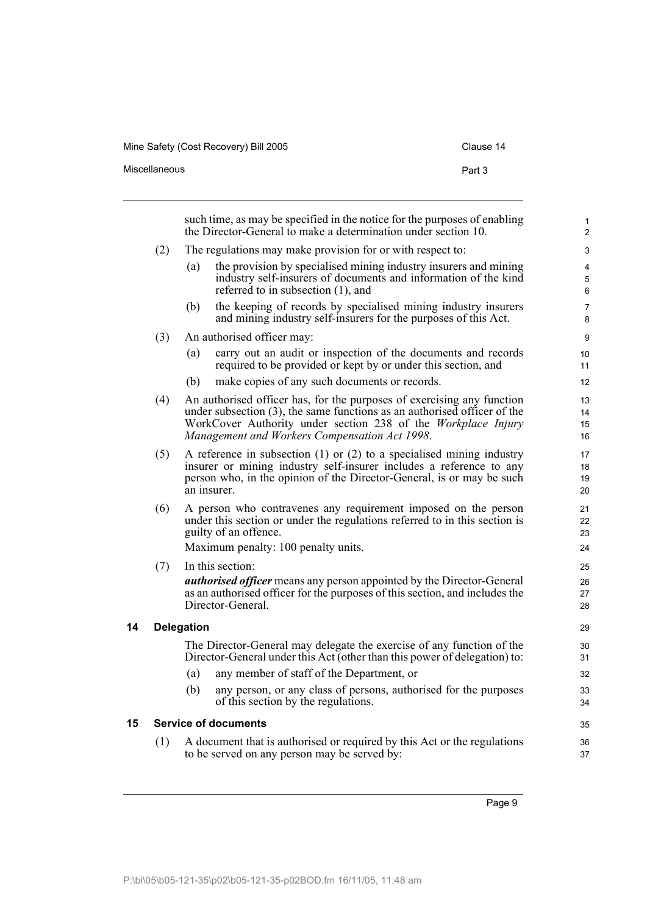Mine Safety (Cost Recovery) Bill 2005 Clause 14

| Miscellaneous | Part 3 |
|---------------|--------|

|    |     | such time, as may be specified in the notice for the purposes of enabling<br>the Director-General to make a determination under section 10.                                                                                                                             | $\mathbf{1}$<br>$\overline{2}$    |
|----|-----|-------------------------------------------------------------------------------------------------------------------------------------------------------------------------------------------------------------------------------------------------------------------------|-----------------------------------|
|    | (2) | The regulations may make provision for or with respect to:                                                                                                                                                                                                              | 3                                 |
|    |     | the provision by specialised mining industry insurers and mining<br>(a)<br>industry self-insurers of documents and information of the kind<br>referred to in subsection (1), and                                                                                        | $\overline{\mathbf{4}}$<br>5<br>6 |
|    |     | the keeping of records by specialised mining industry insurers<br>(b)<br>and mining industry self-insurers for the purposes of this Act.                                                                                                                                | $\overline{7}$<br>8               |
|    | (3) | An authorised officer may:                                                                                                                                                                                                                                              | 9                                 |
|    |     | carry out an audit or inspection of the documents and records<br>(a)<br>required to be provided or kept by or under this section, and                                                                                                                                   | 10<br>11                          |
|    |     | make copies of any such documents or records.<br>(b)                                                                                                                                                                                                                    | 12                                |
|    | (4) | An authorised officer has, for the purposes of exercising any function<br>under subsection $(3)$ , the same functions as an authorised officer of the<br>WorkCover Authority under section 238 of the Workplace Injury<br>Management and Workers Compensation Act 1998. | 13<br>14<br>15<br>16              |
|    | (5) | A reference in subsection $(1)$ or $(2)$ to a specialised mining industry<br>insurer or mining industry self-insurer includes a reference to any<br>person who, in the opinion of the Director-General, is or may be such<br>an insurer.                                | 17<br>18<br>19<br>20              |
|    | (6) | A person who contravenes any requirement imposed on the person<br>under this section or under the regulations referred to in this section is<br>guilty of an offence.                                                                                                   | 21<br>22<br>23                    |
|    |     | Maximum penalty: 100 penalty units.                                                                                                                                                                                                                                     | 24                                |
|    | (7) | In this section:                                                                                                                                                                                                                                                        | 25                                |
|    |     | <b>authorised officer</b> means any person appointed by the Director-General<br>as an authorised officer for the purposes of this section, and includes the<br>Director-General.                                                                                        | 26<br>27<br>28                    |
| 14 |     | <b>Delegation</b>                                                                                                                                                                                                                                                       | 29                                |
|    |     | The Director-General may delegate the exercise of any function of the<br>Director-General under this Act (other than this power of delegation) to:                                                                                                                      | 30<br>31                          |
|    |     | any member of staff of the Department, or<br>(a)                                                                                                                                                                                                                        | 32                                |
|    |     | any person, or any class of persons, authorised for the purposes<br>(b)<br>of this section by the regulations.                                                                                                                                                          | 33<br>34                          |
| 15 |     | <b>Service of documents</b>                                                                                                                                                                                                                                             | 35                                |
|    | (1) | A document that is authorised or required by this Act or the regulations<br>to be served on any person may be served by:                                                                                                                                                | 36<br>37                          |
|    |     |                                                                                                                                                                                                                                                                         |                                   |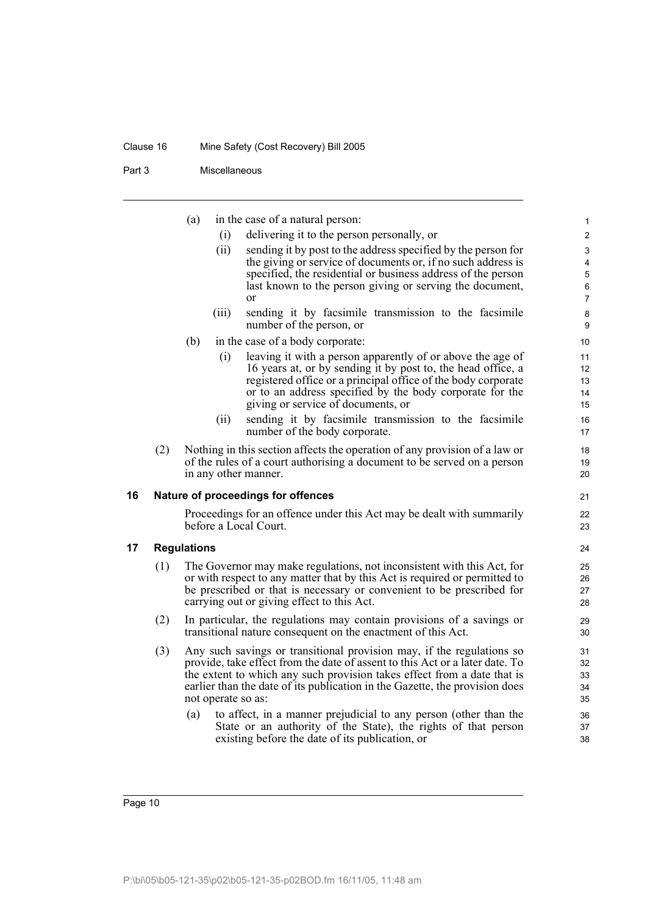#### Clause 16 Mine Safety (Cost Recovery) Bill 2005

Part 3 Miscellaneous

|    |     | in the case of a natural person:<br>(a)                                                                                                   | 1                         |
|----|-----|-------------------------------------------------------------------------------------------------------------------------------------------|---------------------------|
|    |     | delivering it to the person personally, or<br>(i)                                                                                         | $\sqrt{2}$                |
|    |     | (ii)<br>sending it by post to the address specified by the person for                                                                     | $\ensuremath{\mathsf{3}}$ |
|    |     | the giving or service of documents or, if no such address is                                                                              | 4                         |
|    |     | specified, the residential or business address of the person                                                                              | $\mathbf 5$               |
|    |     | last known to the person giving or serving the document,                                                                                  | $\,6\,$                   |
|    |     | or                                                                                                                                        | $\overline{7}$            |
|    |     | sending it by facsimile transmission to the facsimile<br>(iii)<br>number of the person, or                                                | $\bf 8$<br>9              |
|    |     | in the case of a body corporate:<br>(b)                                                                                                   | 10                        |
|    |     | leaving it with a person apparently of or above the age of<br>(i)                                                                         | 11                        |
|    |     | 16 years at, or by sending it by post to, the head office, a                                                                              | 12                        |
|    |     | registered office or a principal office of the body corporate                                                                             | 13                        |
|    |     | or to an address specified by the body corporate for the<br>giving or service of documents, or                                            | 14                        |
|    |     |                                                                                                                                           | 15                        |
|    |     | (ii)<br>sending it by facsimile transmission to the facsimile<br>number of the body corporate.                                            | 16<br>17                  |
|    |     |                                                                                                                                           |                           |
|    | (2) | Nothing in this section affects the operation of any provision of a law or                                                                | 18                        |
|    |     | of the rules of a court authorising a document to be served on a person<br>in any other manner.                                           | 19<br>20                  |
|    |     |                                                                                                                                           |                           |
| 16 |     | Nature of proceedings for offences                                                                                                        | 21                        |
|    |     | Proceedings for an offence under this Act may be dealt with summarily                                                                     | 22                        |
|    |     | before a Local Court.                                                                                                                     | 23                        |
| 17 |     | <b>Regulations</b>                                                                                                                        | 24                        |
|    | (1) | The Governor may make regulations, not inconsistent with this Act, for                                                                    | 25                        |
|    |     | or with respect to any matter that by this Act is required or permitted to                                                                | 26                        |
|    |     | be prescribed or that is necessary or convenient to be prescribed for                                                                     | 27                        |
|    |     | carrying out or giving effect to this Act.                                                                                                | 28                        |
|    | (2) | In particular, the regulations may contain provisions of a savings or                                                                     | 29                        |
|    |     | transitional nature consequent on the enactment of this Act.                                                                              | 30                        |
|    | (3) | Any such savings or transitional provision may, if the regulations so                                                                     | 31                        |
|    |     | provide, take effect from the date of assent to this Act or a later date. To                                                              | 32                        |
|    |     | the extent to which any such provision takes effect from a date that is                                                                   | 33                        |
|    |     | earlier than the date of its publication in the Gazette, the provision does<br>not operate so as:                                         | 34                        |
|    |     |                                                                                                                                           | 35                        |
|    |     | to affect, in a manner prejudicial to any person (other than the<br>(a)<br>State or an authority of the State), the rights of that person | 36<br>37                  |
|    |     |                                                                                                                                           |                           |

existing before the date of its publication, or

38